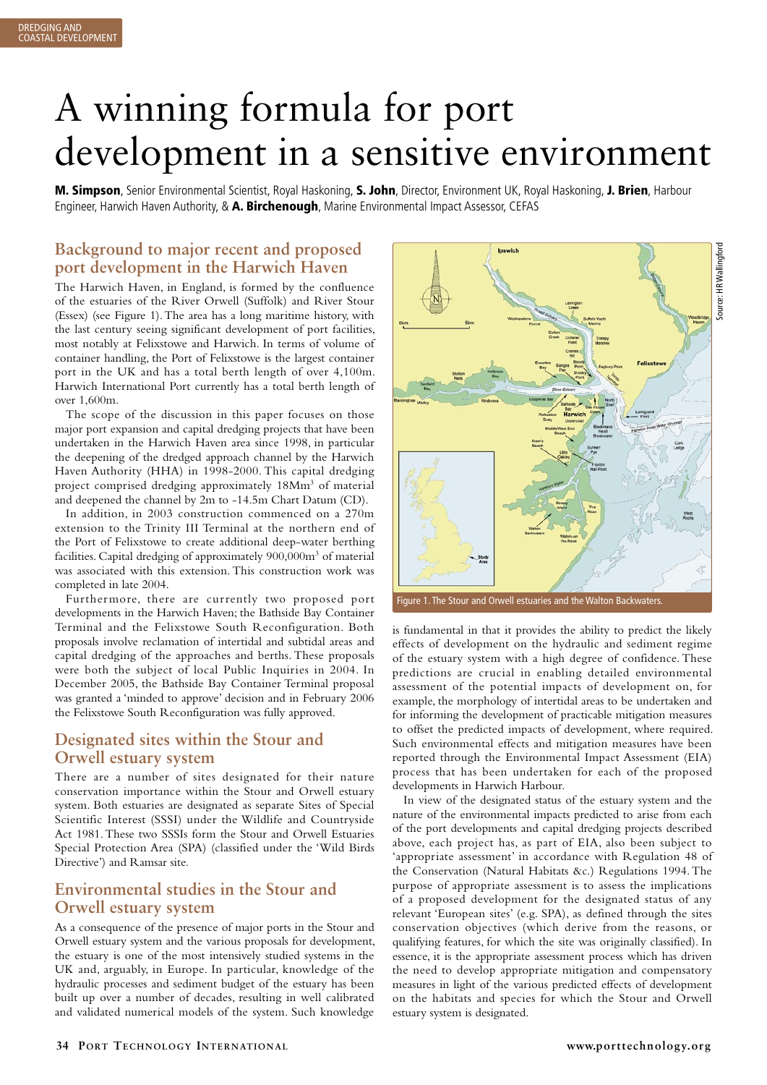# A winning formula for port development in a sensitive environment

M. Simpson, Senior Environmental Scientist, Royal Haskoning, S. John, Director, Environment UK, Royal Haskoning, J. Brien, Harbour Engineer, Harwich Haven Authority, & A. Birchenough, Marine Environmental Impact Assessor, CEFAS

# **Background to major recent and proposed port development in the Harwich Haven**

The Harwich Haven, in England, is formed by the confluence of the estuaries of the River Orwell (Suffolk) and River Stour (Essex) (see Figure 1). The area has a long maritime history, with the last century seeing significant development of port facilities, most notably at Felixstowe and Harwich. In terms of volume of container handling, the Port of Felixstowe is the largest container port in the UK and has a total berth length of over 4,100m. Harwich International Port currently has a total berth length of over 1,600m.

The scope of the discussion in this paper focuses on those major port expansion and capital dredging projects that have been undertaken in the Harwich Haven area since 1998, in particular the deepening of the dredged approach channel by the Harwich Haven Authority (HHA) in 1998-2000. This capital dredging project comprised dredging approximately 18Mm<sup>3</sup> of material and deepened the channel by 2m to -14.5m Chart Datum (CD).

In addition, in 2003 construction commenced on a 270m extension to the Trinity III Terminal at the northern end of the Port of Felixstowe to create additional deep-water berthing facilities. Capital dredging of approximately 900,000m<sup>3</sup> of material was associated with this extension. This construction work was completed in late 2004.

Furthermore, there are currently two proposed port developments in the Harwich Haven; the Bathside Bay Container Terminal and the Felixstowe South Reconfiguration. Both proposals involve reclamation of intertidal and subtidal areas and capital dredging of the approaches and berths. These proposals were both the subject of local Public Inquiries in 2004. In December 2005, the Bathside Bay Container Terminal proposal was granted a 'minded to approve' decision and in February 2006 the Felixstowe South Reconfiguration was fully approved.

# **Designated sites within the Stour and Orwell estuary system**

There are a number of sites designated for their nature conservation importance within the Stour and Orwell estuary system. Both estuaries are designated as separate Sites of Special Scientific Interest (SSSI) under the Wildlife and Countryside Act 1981. These two SSSIs form the Stour and Orwell Estuaries Special Protection Area (SPA) (classified under the 'Wild Birds Directive') and Ramsar site.

# **Environmental studies in the Stour and Orwell estuary system**

As a consequence of the presence of major ports in the Stour and Orwell estuary system and the various proposals for development, the estuary is one of the most intensively studied systems in the UK and, arguably, in Europe. In particular, knowledge of the hydraulic processes and sediment budget of the estuary has been built up over a number of decades, resulting in well calibrated and validated numerical models of the system. Such knowledge



Figure 1. The Stour and Orwell estuaries and the Walton Backwaters.

is fundamental in that it provides the ability to predict the likely effects of development on the hydraulic and sediment regime of the estuary system with a high degree of confidence. These predictions are crucial in enabling detailed environmental assessment of the potential impacts of development on, for example, the morphology of intertidal areas to be undertaken and for informing the development of practicable mitigation measures to offset the predicted impacts of development, where required. Such environmental effects and mitigation measures have been reported through the Environmental Impact Assessment (EIA) process that has been undertaken for each of the proposed developments in Harwich Harbour.

In view of the designated status of the estuary system and the nature of the environmental impacts predicted to arise from each of the port developments and capital dredging projects described above, each project has, as part of EIA, also been subject to 'appropriate assessment' in accordance with Regulation 48 of the Conservation (Natural Habitats &c.) Regulations 1994. The purpose of appropriate assessment is to assess the implications of a proposed development for the designated status of any relevant 'European sites' (e.g. SPA), as defined through the sites conservation objectives (which derive from the reasons, or qualifying features, for which the site was originally classified). In essence, it is the appropriate assessment process which has driven the need to develop appropriate mitigation and compensatory measures in light of the various predicted effects of development on the habitats and species for which the Stour and Orwell estuary system is designated.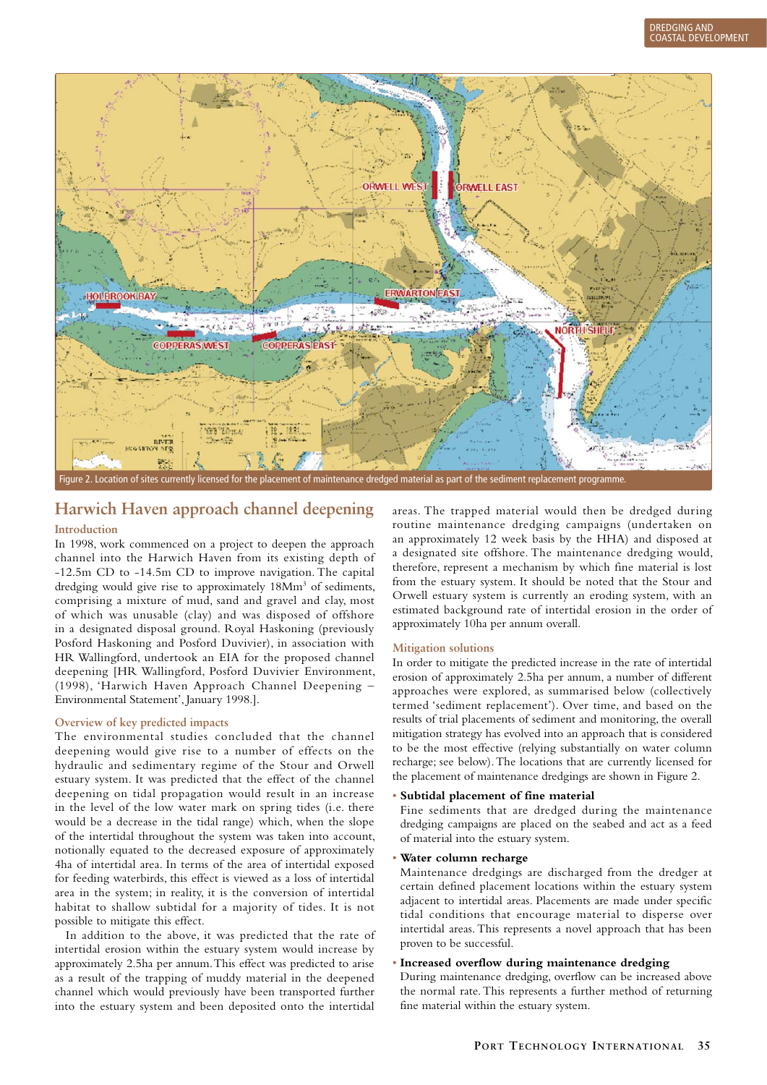

# **Harwich Haven approach channel deepening**

## **Introduction**

In 1998, work commenced on a project to deepen the approach channel into the Harwich Haven from its existing depth of -12.5m CD to -14.5m CD to improve navigation. The capital dredging would give rise to approximately 18Mm<sup>3</sup> of sediments, comprising a mixture of mud, sand and gravel and clay, most of which was unusable (clay) and was disposed of offshore in a designated disposal ground. Royal Haskoning (previously Posford Haskoning and Posford Duvivier), in association with HR Wallingford, undertook an EIA for the proposed channel deepening [HR Wallingford, Posford Duvivier Environment, (1998), 'Harwich Haven Approach Channel Deepening – Environmental Statement', January 1998.].

## **Overview of key predicted impacts**

The environmental studies concluded that the channel deepening would give rise to a number of effects on the hydraulic and sedimentary regime of the Stour and Orwell estuary system. It was predicted that the effect of the channel deepening on tidal propagation would result in an increase in the level of the low water mark on spring tides (i.e. there would be a decrease in the tidal range) which, when the slope of the intertidal throughout the system was taken into account, notionally equated to the decreased exposure of approximately 4ha of intertidal area. In terms of the area of intertidal exposed for feeding waterbirds, this effect is viewed as a loss of intertidal area in the system; in reality, it is the conversion of intertidal habitat to shallow subtidal for a majority of tides. It is not possible to mitigate this effect.

In addition to the above, it was predicted that the rate of intertidal erosion within the estuary system would increase by approximately 2.5ha per annum. This effect was predicted to arise as a result of the trapping of muddy material in the deepened channel which would previously have been transported further into the estuary system and been deposited onto the intertidal

areas. The trapped material would then be dredged during routine maintenance dredging campaigns (undertaken on an approximately 12 week basis by the HHA) and disposed at a designated site offshore. The maintenance dredging would, therefore, represent a mechanism by which fine material is lost from the estuary system. It should be noted that the Stour and Orwell estuary system is currently an eroding system, with an estimated background rate of intertidal erosion in the order of approximately 10ha per annum overall.

## **Mitigation solutions**

In order to mitigate the predicted increase in the rate of intertidal erosion of approximately 2.5ha per annum, a number of different approaches were explored, as summarised below (collectively termed 'sediment replacement'). Over time, and based on the results of trial placements of sediment and monitoring, the overall mitigation strategy has evolved into an approach that is considered to be the most effective (relying substantially on water column recharge; see below). The locations that are currently licensed for the placement of maintenance dredgings are shown in Figure 2.

## • **Subtidal placement of fine material**

 Fine sediments that are dredged during the maintenance dredging campaigns are placed on the seabed and act as a feed of material into the estuary system.

## • **Water column recharge**

 Maintenance dredgings are discharged from the dredger at certain defined placement locations within the estuary system adjacent to intertidal areas. Placements are made under specific tidal conditions that encourage material to disperse over intertidal areas. This represents a novel approach that has been proven to be successful.

#### • **Increased overflow during maintenance dredging**

 During maintenance dredging, overflow can be increased above the normal rate. This represents a further method of returning fine material within the estuary system.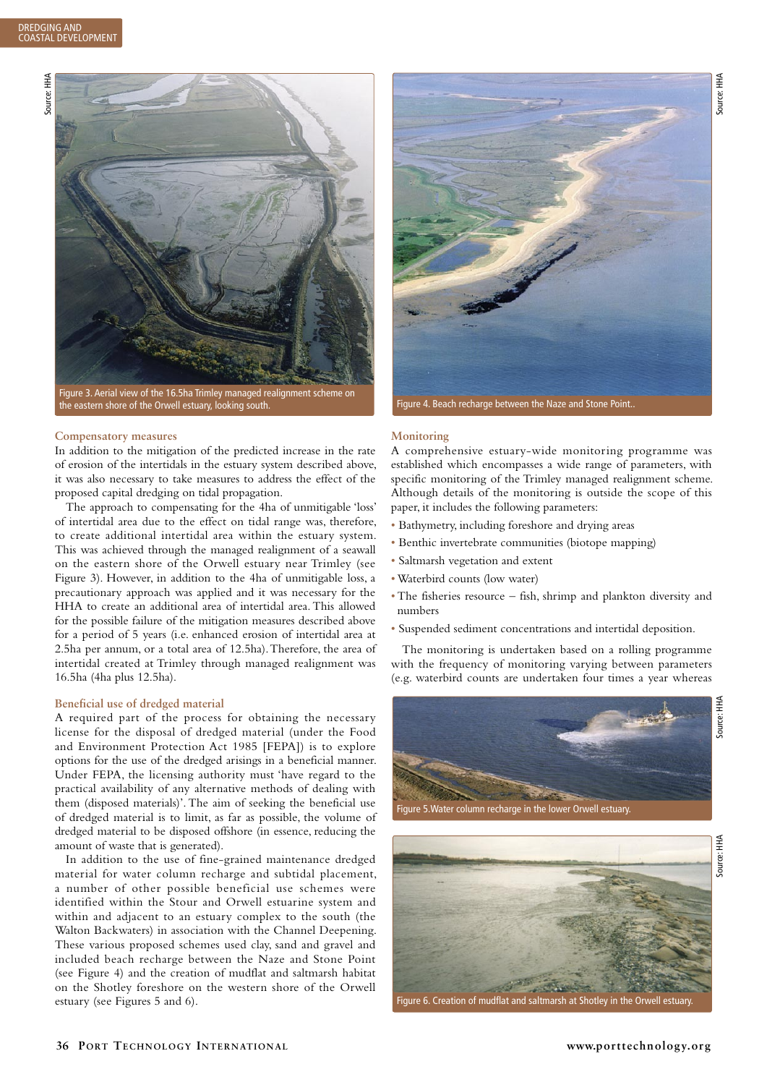

### **Compensatory measures**

In addition to the mitigation of the predicted increase in the rate of erosion of the intertidals in the estuary system described above, it was also necessary to take measures to address the effect of the proposed capital dredging on tidal propagation.

The approach to compensating for the 4ha of unmitigable 'loss' of intertidal area due to the effect on tidal range was, therefore, to create additional intertidal area within the estuary system. This was achieved through the managed realignment of a seawall on the eastern shore of the Orwell estuary near Trimley (see Figure 3). However, in addition to the 4ha of unmitigable loss, a precautionary approach was applied and it was necessary for the HHA to create an additional area of intertidal area. This allowed for the possible failure of the mitigation measures described above for a period of 5 years (i.e. enhanced erosion of intertidal area at 2.5ha per annum, or a total area of 12.5ha). Therefore, the area of intertidal created at Trimley through managed realignment was 16.5ha (4ha plus 12.5ha).

#### **Beneficial use of dredged material**

A required part of the process for obtaining the necessary license for the disposal of dredged material (under the Food and Environment Protection Act 1985 [FEPA]) is to explore options for the use of the dredged arisings in a beneficial manner. Under FEPA, the licensing authority must 'have regard to the practical availability of any alternative methods of dealing with them (disposed materials)'. The aim of seeking the beneficial use of dredged material is to limit, as far as possible, the volume of dredged material to be disposed offshore (in essence, reducing the amount of waste that is generated).

In addition to the use of fine-grained maintenance dredged material for water column recharge and subtidal placement, a number of other possible beneficial use schemes were identified within the Stour and Orwell estuarine system and within and adjacent to an estuary complex to the south (the Walton Backwaters) in association with the Channel Deepening. These various proposed schemes used clay, sand and gravel and included beach recharge between the Naze and Stone Point (see Figure 4) and the creation of mudflat and saltmarsh habitat on the Shotley foreshore on the western shore of the Orwell estuary (see Figures 5 and 6).



#### **Monitoring**

A comprehensive estuary-wide monitoring programme was established which encompasses a wide range of parameters, with specific monitoring of the Trimley managed realignment scheme. Although details of the monitoring is outside the scope of this paper, it includes the following parameters:

- Bathymetry, including foreshore and drying areas
- Benthic invertebrate communities (biotope mapping)
- Saltmarsh vegetation and extent
- Waterbird counts (low water)
- The fisheries resource fish, shrimp and plankton diversity and numbers
- Suspended sediment concentrations and intertidal deposition.

The monitoring is undertaken based on a rolling programme with the frequency of monitoring varying between parameters (e.g. waterbird counts are undertaken four times a year whereas





Figure 6. Creation of mudflat and saltmarsh at Shotley in the Orwell estuary.

Source: HHA

¥ Source: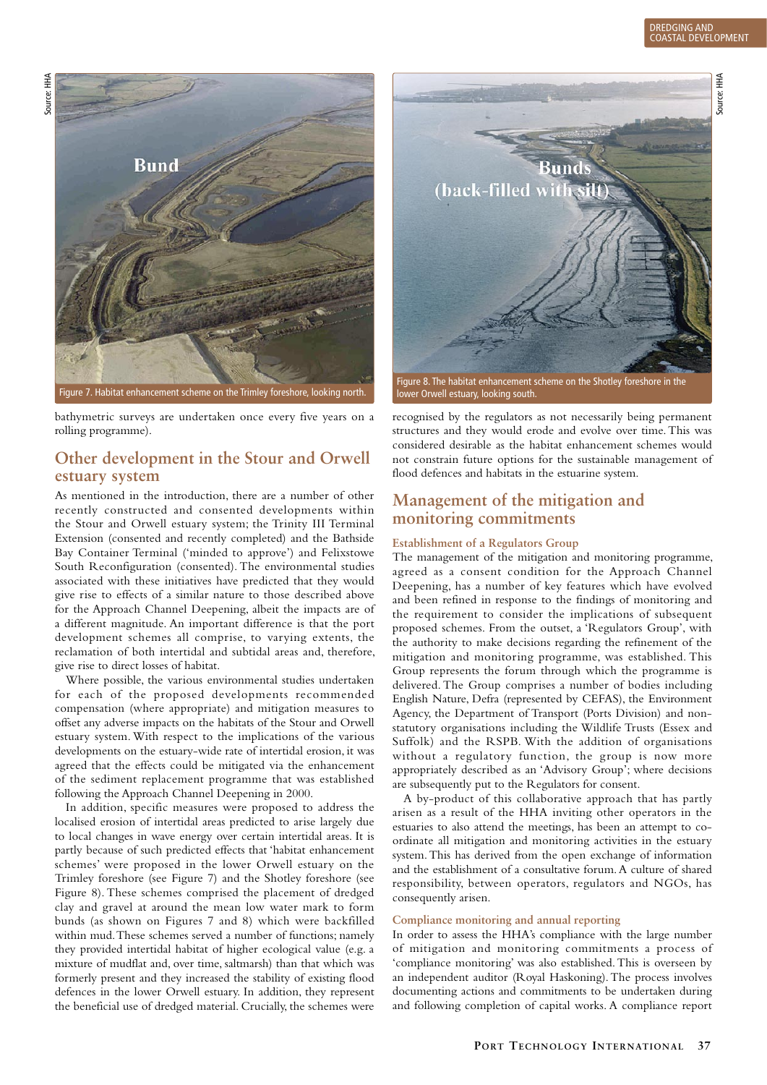Source: HHA

Source: HHA



Figure 7. Habitat enhancement scheme on the Trimley foreshore, looking north.

bathymetric surveys are undertaken once every five years on a rolling programme).

# **Other development in the Stour and Orwell estuary system**

As mentioned in the introduction, there are a number of other recently constructed and consented developments within the Stour and Orwell estuary system; the Trinity III Terminal Extension (consented and recently completed) and the Bathside Bay Container Terminal ('minded to approve') and Felixstowe South Reconfiguration (consented). The environmental studies associated with these initiatives have predicted that they would give rise to effects of a similar nature to those described above for the Approach Channel Deepening, albeit the impacts are of a different magnitude. An important difference is that the port development schemes all comprise, to varying extents, the reclamation of both intertidal and subtidal areas and, therefore, give rise to direct losses of habitat.

Where possible, the various environmental studies undertaken for each of the proposed developments recommended compensation (where appropriate) and mitigation measures to offset any adverse impacts on the habitats of the Stour and Orwell estuary system. With respect to the implications of the various developments on the estuary-wide rate of intertidal erosion, it was agreed that the effects could be mitigated via the enhancement of the sediment replacement programme that was established following the Approach Channel Deepening in 2000.

In addition, specific measures were proposed to address the localised erosion of intertidal areas predicted to arise largely due to local changes in wave energy over certain intertidal areas. It is partly because of such predicted effects that 'habitat enhancement schemes' were proposed in the lower Orwell estuary on the Trimley foreshore (see Figure 7) and the Shotley foreshore (see Figure 8). These schemes comprised the placement of dredged clay and gravel at around the mean low water mark to form bunds (as shown on Figures 7 and 8) which were backfilled within mud. These schemes served a number of functions; namely they provided intertidal habitat of higher ecological value (e.g. a mixture of mudflat and, over time, saltmarsh) than that which was formerly present and they increased the stability of existing flood defences in the lower Orwell estuary. In addition, they represent the beneficial use of dredged material. Crucially, the schemes were



Figure 8. The habitat enhancement scheme on the Shotley foreshore in the lower Orwell estuary, looking south.

recognised by the regulators as not necessarily being permanent structures and they would erode and evolve over time. This was considered desirable as the habitat enhancement schemes would not constrain future options for the sustainable management of flood defences and habitats in the estuarine system.

# **Management of the mitigation and monitoring commitments**

#### **Establishment of a Regulators Group**

The management of the mitigation and monitoring programme, agreed as a consent condition for the Approach Channel Deepening, has a number of key features which have evolved and been refined in response to the findings of monitoring and the requirement to consider the implications of subsequent proposed schemes. From the outset, a 'Regulators Group', with the authority to make decisions regarding the refinement of the mitigation and monitoring programme, was established. This Group represents the forum through which the programme is delivered. The Group comprises a number of bodies including English Nature, Defra (represented by CEFAS), the Environment Agency, the Department of Transport (Ports Division) and nonstatutory organisations including the Wildlife Trusts (Essex and Suffolk) and the RSPB. With the addition of organisations without a regulatory function, the group is now more appropriately described as an 'Advisory Group'; where decisions are subsequently put to the Regulators for consent.

A by-product of this collaborative approach that has partly arisen as a result of the HHA inviting other operators in the estuaries to also attend the meetings, has been an attempt to coordinate all mitigation and monitoring activities in the estuary system. This has derived from the open exchange of information and the establishment of a consultative forum. A culture of shared responsibility, between operators, regulators and NGOs, has consequently arisen.

## **Compliance monitoring and annual reporting**

In order to assess the HHA's compliance with the large number of mitigation and monitoring commitments a process of 'compliance monitoring' was also established. This is overseen by an independent auditor (Royal Haskoning). The process involves documenting actions and commitments to be undertaken during and following completion of capital works. A compliance report